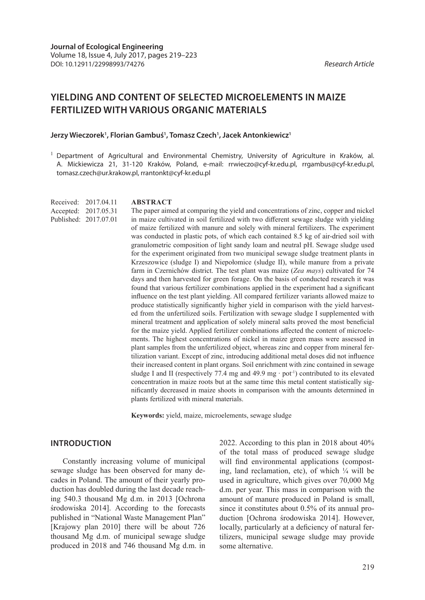# **YIELDING AND CONTENT OF SELECTED MICROELEMENTS IN MAIZE FERTILIZED WITH VARIOUS ORGANIC MATERIALS**

#### **Jerzy Wieczorek1 , Florian Gambuś1 , Tomasz Czech1 , Jacek Antonkiewicz1**

 $<sup>1</sup>$  Department of Agricultural and Environmental Chemistry, University of Agriculture in Kraków, al.</sup> A. Mickiewicza 21, 31-120 Kraków, Poland, e-mail: rrwieczo@cyf-kr.edu.pl, rrgambus@cyf-kr.edu.pl, tomasz.czech@ur.krakow.pl, rrantonkt@cyf-kr.edu.pl

Received: 2017.04.11 Accepted: 2017.05.31 Published: 2017.07.01

#### **ABSTRACT**

The paper aimed at comparing the yield and concentrations of zinc, copper and nickel in maize cultivated in soil fertilized with two different sewage sludge with yielding of maize fertilized with manure and solely with mineral fertilizers. The experiment was conducted in plastic pots, of which each contained 8.5 kg of air-dried soil with granulometric composition of light sandy loam and neutral pH. Sewage sludge used for the experiment originated from two municipal sewage sludge treatment plants in Krzeszowice (sludge I) and Niepołomice (sludge II), while manure from a private farm in Czernichów district. The test plant was maize (*Zea mays*) cultivated for 74 days and then harvested for green forage. On the basis of conducted research it was found that various fertilizer combinations applied in the experiment had a significant influence on the test plant yielding. All compared fertilizer variants allowed maize to produce statistically significantly higher yield in comparison with the yield harvested from the unfertilized soils. Fertilization with sewage sludge I supplemented with mineral treatment and application of solely mineral salts proved the most beneficial for the maize yield. Applied fertilizer combinations affected the content of microelements. The highest concentrations of nickel in maize green mass were assessed in plant samples from the unfertilized object, whereas zinc and copper from mineral fertilization variant. Except of zinc, introducing additional metal doses did not influence their increased content in plant organs. Soil enrichment with zinc contained in sewage sludge I and II (respectively 77.4 mg and 49.9 mg ⋅ pot<sup>-1</sup>) contributed to its elevated concentration in maize roots but at the same time this metal content statistically significantly decreased in maize shoots in comparison with the amounts determined in plants fertilized with mineral materials.

**Keywords:** yield, maize, microelements, sewage sludge

# **INTRODUCTION**

Constantly increasing volume of municipal sewage sludge has been observed for many decades in Poland. The amount of their yearly production has doubled during the last decade reaching 540.3 thousand Mg d.m. in 2013 [Ochrona środowiska 2014]. According to the forecasts published in "National Waste Management Plan" [Krajowy plan 2010] there will be about 726 thousand Mg d.m. of municipal sewage sludge produced in 2018 and 746 thousand Mg d.m. in

2022. According to this plan in 2018 about 40% of the total mass of produced sewage sludge will find environmental applications (composting, land reclamation, etc), of which  $\frac{1}{4}$  will be used in agriculture, which gives over 70,000 Mg d.m. per year. This mass in comparison with the amount of manure produced in Poland is small, since it constitutes about 0.5% of its annual production [Ochrona środowiska 2014]. However, locally, particularly at a deficiency of natural fertilizers, municipal sewage sludge may provide some alternative.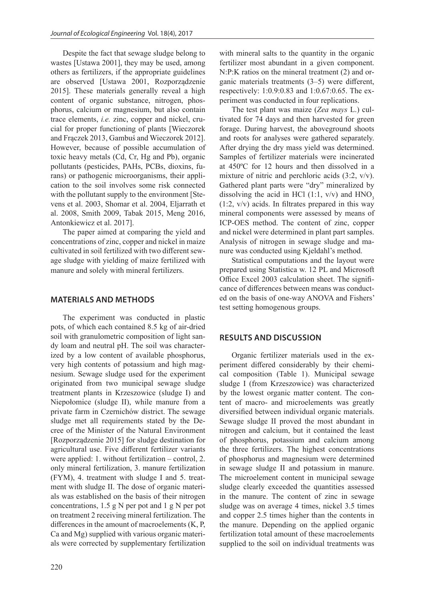Despite the fact that sewage sludge belong to wastes [Ustawa 2001], they may be used, among others as fertilizers, if the appropriate guidelines are observed [Ustawa 2001, Rozporządzenie 2015]. These materials generally reveal a high content of organic substance, nitrogen, phosphorus, calcium or magnesium, but also contain trace elements, *i.e.* zinc, copper and nickel, crucial for proper functioning of plants [Wieczorek and Frączek 2013, Gambuś and Wieczorek 2012]. However, because of possible accumulation of toxic heavy metals (Cd, Cr, Hg and Pb), organic pollutants (pesticides, PAHs, PCBs, dioxins, furans) or pathogenic microorganisms, their application to the soil involves some risk connected with the pollutant supply to the environment [Stevens et al. 2003, Shomar et al. 2004, Eljarrath et al. 2008, Smith 2009, Tabak 2015, Meng 2016, Antonkiewicz et al. 2017].

The paper aimed at comparing the yield and concentrations of zinc, copper and nickel in maize cultivated in soil fertilized with two different sewage sludge with yielding of maize fertilized with manure and solely with mineral fertilizers.

## **MATERIALS AND METHODS**

The experiment was conducted in plastic pots, of which each contained 8.5 kg of air-dried soil with granulometric composition of light sandy loam and neutral pH. The soil was characterized by a low content of available phosphorus, very high contents of potassium and high magnesium. Sewage sludge used for the experiment originated from two municipal sewage sludge treatment plants in Krzeszowice (sludge I) and Niepołomice (sludge II), while manure from a private farm in Czernichów district. The sewage sludge met all requirements stated by the Decree of the Minister of the Natural Environment [Rozporządzenie 2015] for sludge destination for agricultural use. Five different fertilizer variants were applied: 1. without fertilization – control, 2. only mineral fertilization, 3. manure fertilization (FYM), 4. treatment with sludge I and 5. treatment with sludge II. The dose of organic materials was established on the basis of their nitrogen concentrations, 1.5 g N per pot and 1 g N per pot on treatment 2 receiving mineral fertilization. The differences in the amount of macroelements (K, P, Ca and Mg) supplied with various organic materials were corrected by supplementary fertilization

with mineral salts to the quantity in the organic fertilizer most abundant in a given component. N:P:K ratios on the mineral treatment (2) and organic materials treatments (3–5) were different, respectively: 1:0.9:0.83 and 1:0.67:0.65. The experiment was conducted in four replications.

The test plant was maize (*Zea mays* L.) cultivated for 74 days and then harvested for green forage. During harvest, the aboveground shoots and roots for analyses were gathered separately. After drying the dry mass yield was determined. Samples of fertilizer materials were incinerated at 450ºC for 12 hours and then dissolved in a mixture of nitric and perchloric acids (3:2, v/v). Gathered plant parts were "dry" mineralized by dissolving the acid in HCl  $(1:1, v/v)$  and HNO<sub>3</sub> (1:2, v/v) acids. In filtrates prepared in this way mineral components were assessed by means of ICP-OES method. The content of zinc, copper and nickel were determined in plant part samples. Analysis of nitrogen in sewage sludge and manure was conducted using Kjeldahl's method.

Statistical computations and the layout were prepared using Statistica w. 12 PL and Microsoft Office Excel 2003 calculation sheet. The significance of differences between means was conducted on the basis of one-way ANOVA and Fishers' test setting homogenous groups.

### **RESULTS AND DISCUSSION**

Organic fertilizer materials used in the experiment differed considerably by their chemical composition (Table 1). Municipal sewage sludge I (from Krzeszowice) was characterized by the lowest organic matter content. The content of macro- and microelements was greatly diversified between individual organic materials. Sewage sludge II proved the most abundant in nitrogen and calcium, but it contained the least of phosphorus, potassium and calcium among the three fertilizers. The highest concentrations of phosphorus and magnesium were determined in sewage sludge II and potassium in manure. The microelement content in municipal sewage sludge clearly exceeded the quantities assessed in the manure. The content of zinc in sewage sludge was on average 4 times, nickel 3.5 times and copper 2.5 times higher than the contents in the manure. Depending on the applied organic fertilization total amount of these macroelements supplied to the soil on individual treatments was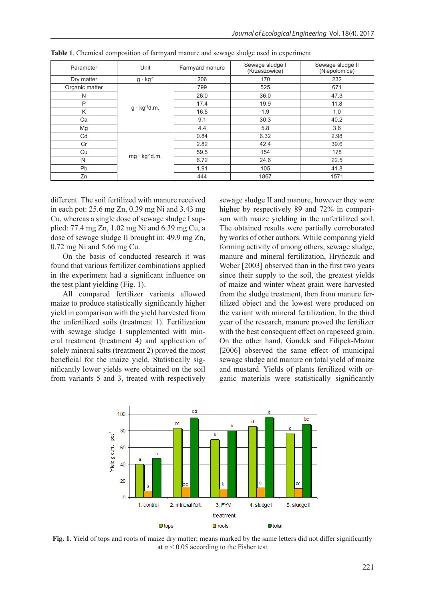| Parameter      | Unit                   | Farmyard manure | Sewage sludge I<br>(Krzeszowice) | Sewage sludge II<br>(Niepołomice) |  |
|----------------|------------------------|-----------------|----------------------------------|-----------------------------------|--|
| Dry matter     | $g \cdot kg^{-1}$      | 206<br>170      |                                  | 232                               |  |
| Organic matter |                        | 799             | 525                              | 671                               |  |
| N              |                        | 26.0            | 36.0                             | 47.3                              |  |
| P              | $g \cdot kg^{-1}d.m.$  | 17.4            | 19.9                             | 11.8                              |  |
| K              |                        | 16.5            | 1.9                              | 1.0                               |  |
| Ca             |                        | 9.1             | 30.3                             | 40.2                              |  |
| Mg             |                        | 4.4             | 5.8                              | 3.6                               |  |
| Cd             |                        | 0.84            | 6.32                             | 2.98                              |  |
| Cr             |                        | 2.82            | 42.4                             | 39.6                              |  |
| Cu             | $mg \cdot kg^{-1}d.m.$ | 59.5            | 154                              | 178                               |  |
| Ni             |                        | 6.72            | 24.6                             | 22.5                              |  |
| Pb             |                        | 1.91            | 105                              | 41.8                              |  |
| Zn             |                        | 444             | 1867                             | 1571                              |  |

**Table 1**. Chemical composition of farmyard manure and sewage sludge used in experiment

different. The soil fertilized with manure received in each pot: 25.6 mg Zn, 0.39 mg Ni and 3.43 mg Cu, whereas a single dose of sewage sludge I supplied: 77.4 mg Zn, 1.02 mg Ni and 6.39 mg Cu, a dose of sewage sludge II brought in: 49.9 mg Zn, 0.72 mg Ni and 5.66 mg Cu.

On the basis of conducted research it was found that various fertilizer combinations applied in the experiment had a significant influence on the test plant yielding (Fig. 1).

All compared fertilizer variants allowed maize to produce statistically significantly higher yield in comparison with the yield harvested from the unfertilized soils (treatment 1). Fertilization with sewage sludge I supplemented with mineral treatment (treatment 4) and application of solely mineral salts (treatment 2) proved the most beneficial for the maize yield. Statistically significantly lower yields were obtained on the soil from variants 5 and 3, treated with respectively

sewage sludge II and manure, however they were higher by respectively 89 and 72% in comparison with maize yielding in the unfertilized soil. The obtained results were partially corroborated by works of other authors. While comparing yield forming activity of among others, sewage sludge, manure and mineral fertilization, Hryńczuk and Weber [2003] observed than in the first two years since their supply to the soil, the greatest yields of maize and winter wheat grain were harvested from the sludge treatment, then from manure fertilized object and the lowest were produced on the variant with mineral fertilization. In the third year of the research, manure proved the fertilizer with the best consequent effect on rapeseed grain. On the other hand, Gondek and Filipek-Mazur [2006] observed the same effect of municipal sewage sludge and manure on total yield of maize and mustard. Yields of plants fertilized with organic materials were statistically significantly



**Fig. 1**. Yield of tops and roots of maize dry matter; means marked by the same letters did not differ significantly at  $\alpha$  < 0.05 according to the Fisher test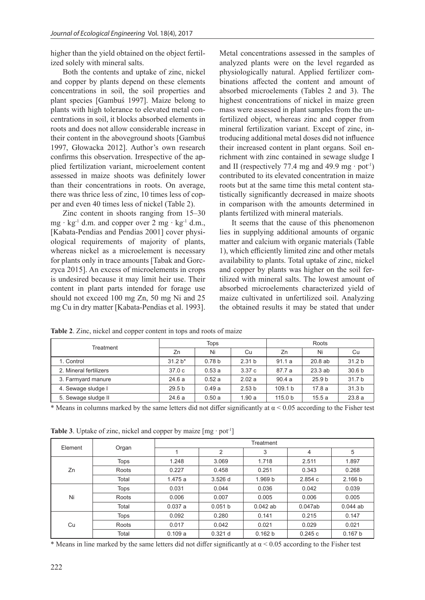higher than the yield obtained on the object fertilized solely with mineral salts.

Both the contents and uptake of zinc, nickel and copper by plants depend on these elements concentrations in soil, the soil properties and plant species [Gambuś 1997]. Maize belong to plants with high tolerance to elevated metal concentrations in soil, it blocks absorbed elements in roots and does not allow considerable increase in their content in the aboveground shoots [Gambuś 1997, Głowacka 2012]. Author's own research confirms this observation. Irrespective of the applied fertilization variant, microelement content assessed in maize shoots was definitely lower than their concentrations in roots. On average, there was thrice less of zinc, 10 times less of copper and even 40 times less of nickel (Table 2).

Zinc content in shoots ranging from 15–30 mg ⋅ kg<sup>-1</sup> d.m. and copper over 2 mg ⋅ kg<sup>-1</sup> d.m., [Kabata-Pendias and Pendias 2001] cover physiological requirements of majority of plants, whereas nickel as a microelement is necessary for plants only in trace amounts [Tabak and Gorczyca 2015]. An excess of microelements in crops is undesired because it may limit heir use. Their content in plant parts intended for forage use should not exceed 100 mg Zn, 50 mg Ni and 25 mg Cu in dry matter [Kabata-Pendias et al. 1993].

Metal concentrations assessed in the samples of analyzed plants were on the level regarded as physiologically natural. Applied fertilizer combinations affected the content and amount of absorbed microelements (Tables 2 and 3). The highest concentrations of nickel in maize green mass were assessed in plant samples from the unfertilized object, whereas zinc and copper from mineral fertilization variant. Except of zinc, introducing additional metal doses did not influence their increased content in plant organs. Soil enrichment with zinc contained in sewage sludge I and II (respectively 77.4 mg and 49.9 mg  $·$  pot<sup>-1</sup>) contributed to its elevated concentration in maize roots but at the same time this metal content statistically significantly decreased in maize shoots in comparison with the amounts determined in plants fertilized with mineral materials.

It seems that the cause of this phenomenon lies in supplying additional amounts of organic matter and calcium with organic materials (Table 1), which efficiently limited zinc and other metals availability to plants. Total uptake of zinc, nickel and copper by plants was higher on the soil fertilized with mineral salts. The lowest amount of absorbed microelements characterized yield of maize cultivated in unfertilized soil. Analyzing the obtained results it may be stated that under

| Treatment              | Tops              |                   |                   | Roots              |                   |                   |
|------------------------|-------------------|-------------------|-------------------|--------------------|-------------------|-------------------|
|                        | Zn                | Ni                | Cu                | Zn                 | Ni                | Cu                |
| 1. Control             | $31.2 b*$         | 0.78 <sub>b</sub> | 2.31 <sub>b</sub> | 91.1a              | 20.8ab            | 31.2 <sub>b</sub> |
| 2. Mineral fertilizers | 37.0 <sub>c</sub> | 0.53a             | 3.37c             | 87.7 a             | 23.3ab            | 30.6 <sub>b</sub> |
| 3. Farmyard manure     | 24.6a             | 0.52a             | 2.02a             | 90.4a              | 25.9 <sub>b</sub> | 31.7 <sub>b</sub> |
| 4. Sewage sludge I     | 29.5 <sub>b</sub> | 0.49a             | 2.53 <sub>b</sub> | 109.1 <sub>b</sub> | 17.8a             | 31.3 <sub>b</sub> |
| 5. Sewage sludge II    | 24.6a             | 0.50a             | 1.90a             | 115.0 <sub>b</sub> | 15.5a             | 23.8a             |

**Table 2**. Zinc, nickel and copper content in tops and roots of maize

\* Means in columns marked by the same letters did not differ significantly at  $\alpha$  < 0.05 according to the Fisher test

| Element | Organ       | Treatment |         |            |         |            |  |
|---------|-------------|-----------|---------|------------|---------|------------|--|
|         |             |           | 2       | 3          | 4       | 5          |  |
| Zn      | <b>Tops</b> | 1.248     | 3.069   | 1.718      | 2.511   | 1.897      |  |
|         | Roots       | 0.227     | 0.458   | 0.251      | 0.343   | 0.268      |  |
|         | Total       | 1.475a    | 3.526d  | 1.969 b    | 2.854c  | 2.166 b    |  |
| Ni      | <b>Tops</b> | 0.031     | 0.044   | 0.036      | 0.042   | 0.039      |  |
|         | Roots       | 0.006     | 0.007   | 0.005      | 0.006   | 0.005      |  |
|         | Total       | 0.037a    | 0.051 b | $0.042$ ab | 0.047ab | $0.044$ ab |  |
| Cu      | <b>Tops</b> | 0.092     | 0.280   | 0.141      | 0.215   | 0.147      |  |
|         | Roots       | 0.017     | 0.042   | 0.021      | 0.029   | 0.021      |  |
|         | Total       | 0.109a    | 0.321 d | 0.162 b    | 0.245c  | 0.167 b    |  |

**Table 3**. Uptake of zinc, nickel and copper by maize  $[mg \cdot pot^{-1}]$ 

\* Means in line marked by the same letters did not differ significantly at  $\alpha$  < 0.05 according to the Fisher test